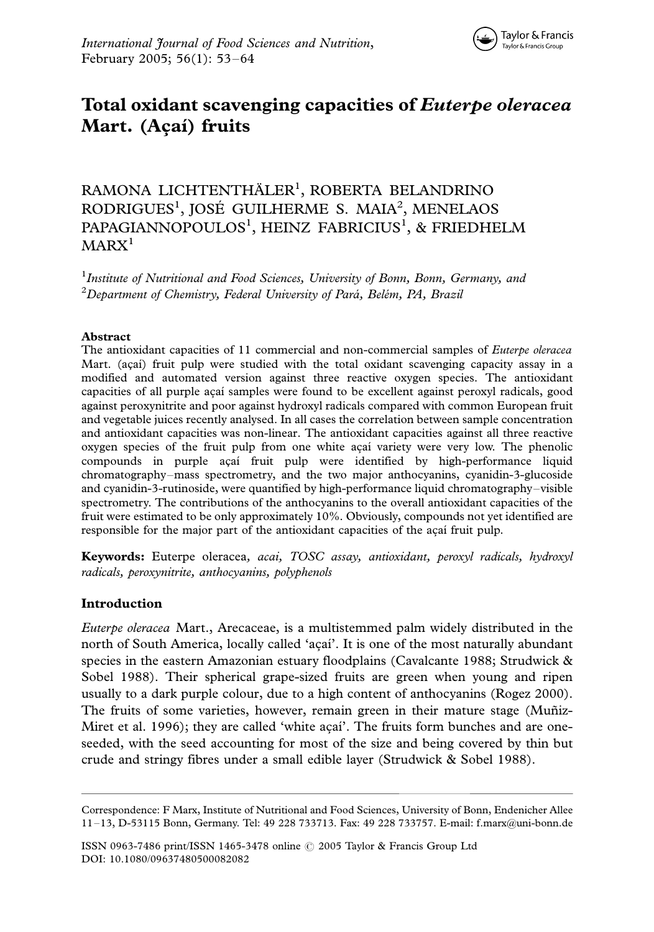# Total oxidant scavenging capacities of Euterpe oleracea Mart. (Açaí) fruits

RAMONA LICHTENTHÄLER<sup>1</sup>, ROBERTA BELANDRINO RODRIGUES<sup>1</sup>, JOSÉ GUILHERME S. MAIA<sup>2</sup>, MENELAOS PAPAGIANNOPOULOS<sup>1</sup>, HEINZ FABRICIUS<sup>1</sup>, & FRIEDHELM  $MARX<sup>1</sup>$ 

<sup>1</sup> Institute of Nutritional and Food Sciences, University of Bonn, Bonn, Germany, and  $^2$ Department of Chemistry, Federal University of Pará, Belém, PA, Brazil

#### Abstract

The antioxidant capacities of 11 commercial and non-commercial samples of Euterpe oleracea Mart. (açaí) fruit pulp were studied with the total oxidant scavenging capacity assay in a modified and automated version against three reactive oxygen species. The antioxidant capacities of all purple açaí samples were found to be excellent against peroxyl radicals, good against peroxynitrite and poor against hydroxyl radicals compared with common European fruit and vegetable juices recently analysed. In all cases the correlation between sample concentration and antioxidant capacities was non-linear. The antioxidant capacities against all three reactive oxygen species of the fruit pulp from one white açaí variety were very low. The phenolic compounds in purple açaí fruit pulp were identified by high-performance liquid chromatography–mass spectrometry, and the two major anthocyanins, cyanidin-3-glucoside and cyanidin-3-rutinoside, were quantified by high-performance liquid chromatography-visible spectrometry. The contributions of the anthocyanins to the overall antioxidant capacities of the fruit were estimated to be only approximately 10%. Obviously, compounds not yet identified are responsible for the major part of the antioxidant capacities of the açaí fruit pulp.

Keywords: Euterpe oleracea, acai, TOSC assay, antioxidant, peroxyl radicals, hydroxyl radicals, peroxynitrite, anthocyanins, polyphenols

# Introduction

Euterpe oleracea Mart., Arecaceae, is a multistemmed palm widely distributed in the north of South America, locally called 'açaí'. It is one of the most naturally abundant species in the eastern Amazonian estuary floodplains (Cavalcante 1988; Strudwick & Sobel 1988). Their spherical grape-sized fruits are green when young and ripen usually to a dark purple colour, due to a high content of anthocyanins (Rogez 2000). The fruits of some varieties, however, remain green in their mature stage (Muñiz-Miret et al. 1996); they are called 'white açai'. The fruits form bunches and are oneseeded, with the seed accounting for most of the size and being covered by thin but crude and stringy fibres under a small edible layer (Strudwick & Sobel 1988).

ISSN 0963-7486 print/ISSN 1465-3478 online © 2005 Taylor & Francis Group Ltd DOI: 10.1080/09637480500082082

Correspondence: F Marx, Institute of Nutritional and Food Sciences, University of Bonn, Endenicher Allee 11-13, D-53115 Bonn, Germany. Tel: 49 228 733713. Fax: 49 228 733757. E-mail: f.marx@uni-bonn.de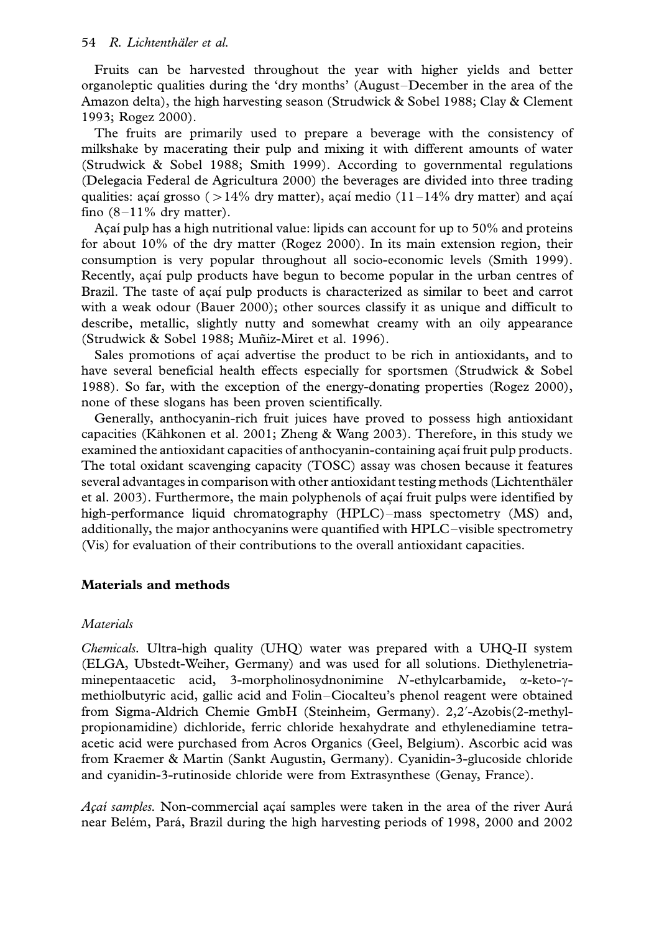Fruits can be harvested throughout the year with higher yields and better organoleptic qualities during the 'dry months' (August/December in the area of the Amazon delta), the high harvesting season (Strudwick & Sobel 1988; Clay & Clement 1993; Rogez 2000).

The fruits are primarily used to prepare a beverage with the consistency of milkshake by macerating their pulp and mixing it with different amounts of water (Strudwick & Sobel 1988; Smith 1999). According to governmental regulations (Delegacia Federal de Agricultura 2000) the beverages are divided into three trading qualities: açaí grosso ( $>14\%$  dry matter), açaí medio (11-14% dry matter) and açaí fino  $(8-11\%$  dry matter).

Acaí pulp has a high nutritional value: lipids can account for up to 50% and proteins for about 10% of the dry matter (Rogez 2000). In its main extension region, their consumption is very popular throughout all socio-economic levels (Smith 1999). Recently, acai pulp products have begun to become popular in the urban centres of Brazil. The taste of açaí pulp products is characterized as similar to beet and carrot with a weak odour (Bauer 2000); other sources classify it as unique and difficult to describe, metallic, slightly nutty and somewhat creamy with an oily appearance (Strudwick & Sobel 1988; Muñiz-Miret et al. 1996).

Sales promotions of açaí advertise the product to be rich in antioxidants, and to have several beneficial health effects especially for sportsmen (Strudwick & Sobel 1988). So far, with the exception of the energy-donating properties (Rogez 2000), none of these slogans has been proven scientifically.

Generally, anthocyanin-rich fruit juices have proved to possess high antioxidant capacities (Kähkonen et al. 2001; Zheng & Wang 2003). Therefore, in this study we examined the antioxidant capacities of anthocyanin-containing acai fruit pulp products. The total oxidant scavenging capacity (TOSC) assay was chosen because it features several advantages in comparison with other antioxidant testing methods (Lichtenthäler et al. 2003). Furthermore, the main polyphenols of açaí fruit pulps were identified by high-performance liquid chromatography  $(HPLC)$ -mass spectometry  $(MS)$  and, additionally, the major anthocyanins were quantified with HPLC-visible spectrometry (Vis) for evaluation of their contributions to the overall antioxidant capacities.

# Materials and methods

# **Materials**

Chemicals. Ultra-high quality (UHQ) water was prepared with a UHQ-II system (ELGA, Ubstedt-Weiher, Germany) and was used for all solutions. Diethylenetriaminepentaacetic acid, 3-morpholinosydnonimine N-ethylcarbamide,  $\alpha$ -keto- $\gamma$ methiolbutyric acid, gallic acid and Folin/Ciocalteu's phenol reagent were obtained from Sigma-Aldrich Chemie GmbH (Steinheim, Germany). 2,2?-Azobis(2-methylpropionamidine) dichloride, ferric chloride hexahydrate and ethylenediamine tetraacetic acid were purchased from Acros Organics (Geel, Belgium). Ascorbic acid was from Kraemer & Martin (Sankt Augustin, Germany). Cyanidin-3-glucoside chloride and cyanidin-3-rutinoside chloride were from Extrasynthese (Genay, France).

Acai samples. Non-commercial acai samples were taken in the area of the river Aurá near Belém, Pará, Brazil during the high harvesting periods of 1998, 2000 and 2002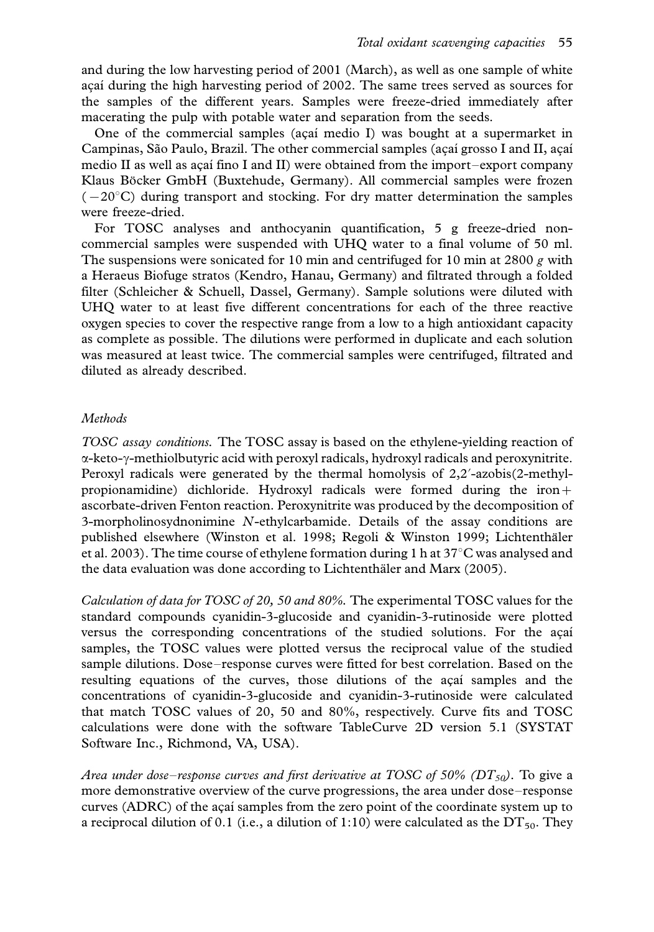and during the low harvesting period of 2001 (March), as well as one sample of white acaí during the high harvesting period of 2002. The same trees served as sources for the samples of the different years. Samples were freeze-dried immediately after macerating the pulp with potable water and separation from the seeds.

One of the commercial samples (acaí medio I) was bought at a supermarket in Campinas, São Paulo, Brazil. The other commercial samples (açaí grosso I and II, açaí medio II as well as acaí fino I and II) were obtained from the import-export company Klaus Böcker GmbH (Buxtehude, Germany). All commercial samples were frozen  $(-20^{\circ}C)$  during transport and stocking. For dry matter determination the samples were freeze-dried.

For TOSC analyses and anthocyanin quantification, 5 g freeze-dried noncommercial samples were suspended with UHQ water to a final volume of 50 ml. The suspensions were sonicated for 10 min and centrifuged for 10 min at 2800 g with a Heraeus Biofuge stratos (Kendro, Hanau, Germany) and filtrated through a folded filter (Schleicher & Schuell, Dassel, Germany). Sample solutions were diluted with UHQ water to at least five different concentrations for each of the three reactive oxygen species to cover the respective range from a low to a high antioxidant capacity as complete as possible. The dilutions were performed in duplicate and each solution was measured at least twice. The commercial samples were centrifuged, filtrated and diluted as already described.

# Methods

TOSC assay conditions. The TOSC assay is based on the ethylene-yielding reaction of a-keto-g-methiolbutyric acid with peroxyl radicals, hydroxyl radicals and peroxynitrite. Peroxyl radicals were generated by the thermal homolysis of 2,2'-azobis(2-methylpropionamidine) dichloride. Hydroxyl radicals were formed during the iron+ ascorbate-driven Fenton reaction. Peroxynitrite was produced by the decomposition of 3-morpholinosydnonimine N-ethylcarbamide. Details of the assay conditions are published elsewhere (Winston et al. 1998; Regoli & Winston 1999; Lichtentha¨ler et al. 2003). The time course of ethylene formation during 1 h at  $37^{\circ}$ C was analysed and the data evaluation was done according to Lichtenthäler and Marx (2005).

Calculation of data for TOSC of 20, 50 and 80%. The experimental TOSC values for the standard compounds cyanidin-3-glucoside and cyanidin-3-rutinoside were plotted versus the corresponding concentrations of the studied solutions. For the açaí samples, the TOSC values were plotted versus the reciprocal value of the studied sample dilutions. Dose–response curves were fitted for best correlation. Based on the resulting equations of the curves, those dilutions of the acai samples and the concentrations of cyanidin-3-glucoside and cyanidin-3-rutinoside were calculated that match TOSC values of 20, 50 and 80%, respectively. Curve fits and TOSC calculations were done with the software TableCurve 2D version 5.1 (SYSTAT Software Inc., Richmond, VA, USA).

Area under dose–response curves and first derivative at TOSC of 50% ( $DT<sub>50</sub>$ ). To give a more demonstrative overview of the curve progressions, the area under dose-response curves (ADRC) of the açaí samples from the zero point of the coordinate system up to a reciprocal dilution of 0.1 (i.e., a dilution of 1:10) were calculated as the  $DT_{50}$ . They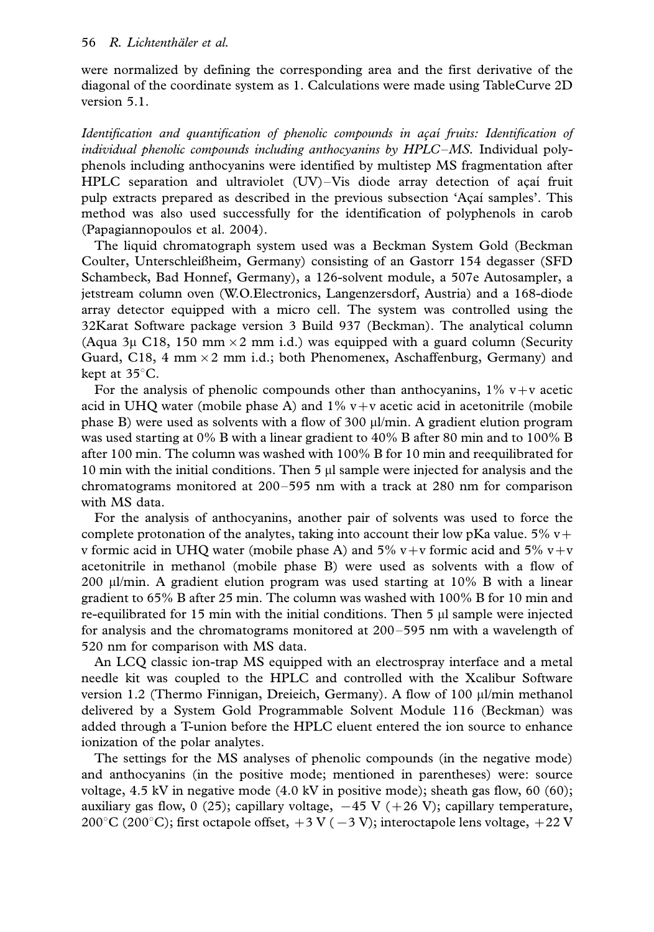were normalized by defining the corresponding area and the first derivative of the diagonal of the coordinate system as 1. Calculations were made using TableCurve 2D version 5.1.

Identification and quantification of phenolic compounds in açai fruits: Identification of individual phenolic compounds including anthocyanins by  $HPLC-MS$ . Individual polyphenols including anthocyanins were identified by multistep MS fragmentation after HPLC separation and ultraviolet  $(UV)$ -Vis diode array detection of açaı fruit pulp extracts prepared as described in the previous subsection 'Acai samples'. This method was also used successfully for the identification of polyphenols in carob (Papagiannopoulos et al. 2004).

The liquid chromatograph system used was a Beckman System Gold (Beckman Coulter, Unterschleißheim, Germany) consisting of an Gastorr 154 degasser (SFD Schambeck, Bad Honnef, Germany), a 126-solvent module, a 507e Autosampler, a jetstream column oven (W.O.Electronics, Langenzersdorf, Austria) and a 168-diode array detector equipped with a micro cell. The system was controlled using the 32Karat Software package version 3 Build 937 (Beckman). The analytical column (Aqua 3µ C18, 150 mm  $\times$  2 mm i.d.) was equipped with a guard column (Security Guard, C18, 4 mm  $\times$  2 mm i.d.; both Phenomenex, Aschaffenburg, Germany) and kept at  $35^{\circ}$ C.

For the analysis of phenolic compounds other than anthocyanins,  $1\%$  v + v acetic acid in UHQ water (mobile phase A) and  $1\%$  v+v acetic acid in acetonitrile (mobile phase B) were used as solvents with a flow of  $300 \mu/m$ in. A gradient elution program was used starting at 0% B with a linear gradient to 40% B after 80 min and to 100% B after 100 min. The column was washed with 100% B for 10 min and reequilibrated for 10 min with the initial conditions. Then  $5 \mu l$  sample were injected for analysis and the chromatograms monitored at  $200-595$  nm with a track at  $280$  nm for comparison with MS data.

For the analysis of anthocyanins, another pair of solvents was used to force the complete protonation of the analytes, taking into account their low pKa value.  $5\%$  v+ v formic acid in UHQ water (mobile phase A) and 5% v+v formic acid and 5% v+v acetonitrile in methanol (mobile phase B) were used as solvents with a flow of 200  $\mu$ /min. A gradient elution program was used starting at 10% B with a linear gradient to 65% B after 25 min. The column was washed with 100% B for 10 min and re-equilibrated for 15 min with the initial conditions. Then  $5 \mu l$  sample were injected for analysis and the chromatograms monitored at  $200-595$  nm with a wavelength of 520 nm for comparison with MS data.

An LCQ classic ion-trap MS equipped with an electrospray interface and a metal needle kit was coupled to the HPLC and controlled with the Xcalibur Software version 1.2 (Thermo Finnigan, Dreieich, Germany). A flow of 100 ml/min methanol delivered by a System Gold Programmable Solvent Module 116 (Beckman) was added through a T-union before the HPLC eluent entered the ion source to enhance ionization of the polar analytes.

The settings for the MS analyses of phenolic compounds (in the negative mode) and anthocyanins (in the positive mode; mentioned in parentheses) were: source voltage, 4.5 kV in negative mode (4.0 kV in positive mode); sheath gas flow, 60 (60); auxiliary gas flow, 0 (25); capillary voltage,  $-45$  V (+26 V); capillary temperature, 200°C (200°C); first octapole offset,  $+3 \text{ V } (-3 \text{ V})$ ; interoctapole lens voltage,  $+22 \text{ V }$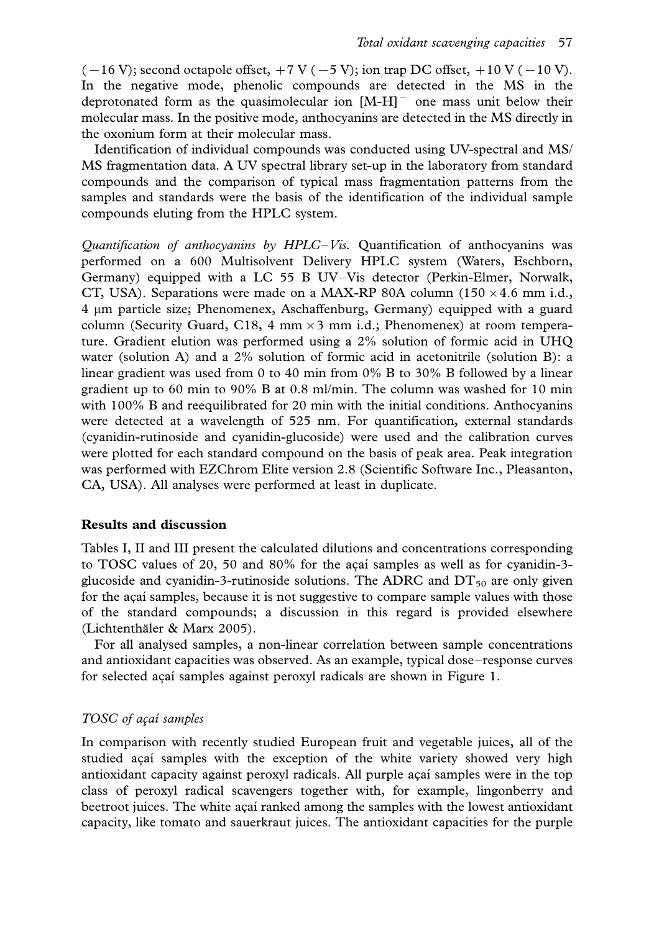$(-16 \text{ V})$ ; second octapole offset,  $+7 \text{ V}$  ( $-5 \text{ V}$ ); ion trap DC offset,  $+10 \text{ V}$  ( $-10 \text{ V}$ ). In the negative mode, phenolic compounds are detected in the MS in the deprotonated form as the quasimolecular ion  $[M-H]$ <sup>-</sup> one mass unit below their molecular mass. In the positive mode, anthocyanins are detected in the MS directly in the oxonium form at their molecular mass.

Identification of individual compounds was conducted using UV-spectral and MS/ MS fragmentation data. A UV spectral library set-up in the laboratory from standard compounds and the comparison of typical mass fragmentation patterns from the samples and standards were the basis of the identification of the individual sample compounds eluting from the HPLC system.

Quantification of anthocyanins by  $HPLC-V$ is. Quantification of anthocyanins was performed on a 600 Multisolvent Delivery HPLC system (Waters, Eschborn, Germany) equipped with a LC 55 B UV-Vis detector (Perkin-Elmer, Norwalk, CT, USA). Separations were made on a MAX-RP 80A column (150  $\times$  4.6 mm i.d., 4 mm particle size; Phenomenex, Aschaffenburg, Germany) equipped with a guard column (Security Guard, C18, 4 mm  $\times$  3 mm i.d.; Phenomenex) at room temperature. Gradient elution was performed using a 2% solution of formic acid in UHQ water (solution A) and a 2% solution of formic acid in acetonitrile (solution B): a linear gradient was used from 0 to 40 min from 0% B to 30% B followed by a linear gradient up to 60 min to 90% B at 0.8 ml/min. The column was washed for 10 min with 100% B and reequilibrated for 20 min with the initial conditions. Anthocyanins were detected at a wavelength of 525 nm. For quantification, external standards (cyanidin-rutinoside and cyanidin-glucoside) were used and the calibration curves were plotted for each standard compound on the basis of peak area. Peak integration was performed with EZChrom Elite version 2.8 (Scientific Software Inc., Pleasanton, CA, USA). All analyses were performed at least in duplicate.

# Results and discussion

Tables I, II and III present the calculated dilutions and concentrations corresponding to TOSC values of 20, 50 and 80% for the açaı´ samples as well as for cyanidin-3glucoside and cyanidin-3-rutinoside solutions. The ADRC and  $DT<sub>50</sub>$  are only given for the açaí samples, because it is not suggestive to compare sample values with those of the standard compounds; a discussion in this regard is provided elsewhere (Lichtenthäler & Marx 2005).

For all analysed samples, a non-linear correlation between sample concentrations and antioxidant capacities was observed. As an example, typical dose-response curves for selected açai samples against peroxyl radicals are shown in Figure 1.

#### TOSC of açai samples

In comparison with recently studied European fruit and vegetable juices, all of the studied acai samples with the exception of the white variety showed very high antioxidant capacity against peroxyl radicals. All purple açaí samples were in the top class of peroxyl radical scavengers together with, for example, lingonberry and beetroot juices. The white açaí ranked among the samples with the lowest antioxidant capacity, like tomato and sauerkraut juices. The antioxidant capacities for the purple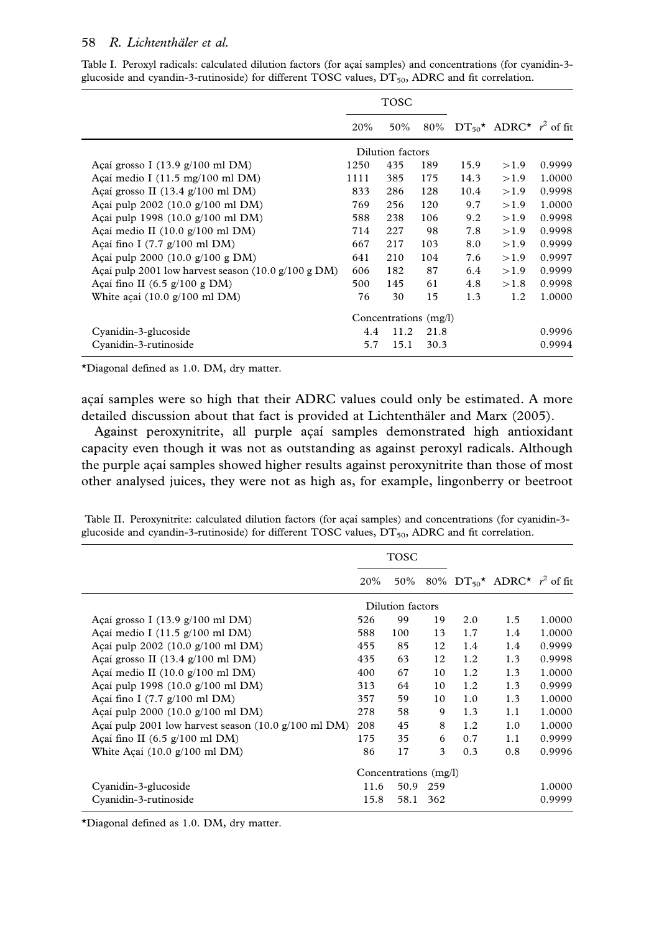|                                                                              | TOSC |                  |                       |      |                                          |        |
|------------------------------------------------------------------------------|------|------------------|-----------------------|------|------------------------------------------|--------|
|                                                                              | 20%  | 50%              |                       |      | 80% $DT_{50}^{\star}$ ADRC* $r^2$ of fit |        |
|                                                                              |      | Dilution factors |                       |      |                                          |        |
| Açaí grosso I $(13.9 \text{ g}/100 \text{ ml} \text{ DM})$                   | 1250 | 435              | 189                   | 15.9 | >1.9                                     | 0.9999 |
| Açaí medio I $(11.5 \text{ mg}/100 \text{ ml} \text{ DM})$                   | 1111 | 385              | 175                   | 14.3 | >1.9                                     | 1.0000 |
| Açaí grosso II $(13.4 \text{ g}/100 \text{ ml} \text{ DM})$                  | 833  | 286              | 128                   | 10.4 | >1.9                                     | 0.9998 |
| Açaí pulp 2002 $(10.0 \text{ g}/100 \text{ ml} \text{DM})$                   | 769  | 256              | 120                   | 9.7  | >1.9                                     | 1.0000 |
| Acaí pulp 1998 $(10.0 \text{ g}/100 \text{ ml} \text{DM})$                   | 588  | 238              | 106                   | 9.2  | >1.9                                     | 0.9998 |
| Açaí medio II $(10.0 \text{ g}/100 \text{ ml} \text{ DM})$                   | 714  | 227              | 98                    | 7.8  | >1.9                                     | 0.9998 |
| Açaí fino I $(7.7 \text{ g}/100 \text{ ml} \text{ DM})$                      | 667  | 217              | 103                   | 8.0  | >1.9                                     | 0.9999 |
| Açaí pulp 2000 $(10.0 \text{ g}/100 \text{ g} \text{ DM})$                   | 641  | 210              | 104                   | 7.6  | >1.9                                     | 0.9997 |
| Acaí pulp 2001 low harvest season $(10.0 \text{ g}/100 \text{ g} \text{DM})$ | 606  | 182              | 87                    | 6.4  | >1.9                                     | 0.9999 |
| Açaí fino II $(6.5 \text{ g}/100 \text{ g} \text{ DM})$                      | 500  | 145              | 61                    | 4.8  | >1.8                                     | 0.9998 |
| White acaí $(10.0 \text{ g}/100 \text{ ml} \text{ DM})$                      | 76   | 30               | 15                    | 1.3  | 1.2                                      | 1.0000 |
|                                                                              |      |                  | Concentrations (mg/l) |      |                                          |        |
| Cyanidin-3-glucoside                                                         | 4.4  | 11.2             | 21.8                  |      |                                          | 0.9996 |
| Cyanidin-3-rutinoside                                                        | 5.7  | 15.1             | 30.3                  |      |                                          | 0.9994 |

Table I. Peroxyl radicals: calculated dilution factors (for açaí samples) and concentrations (for cyanidin-3glucoside and cyandin-3-rutinoside) for different TOSC values,  $DT<sub>50</sub>$ , ADRC and fit correlation.

\*Diagonal defined as 1.0. DM, dry matter.

açaí samples were so high that their ADRC values could only be estimated. A more detailed discussion about that fact is provided at Lichtenthäler and Marx (2005).

Against peroxynitrite, all purple açaí samples demonstrated high antioxidant capacity even though it was not as outstanding as against peroxyl radicals. Although the purple açaí samples showed higher results against peroxynitrite than those of most other analysed juices, they were not as high as, for example, lingonberry or beetroot

|  |  |  |                                                                                                      | Table II. Peroxynitrite: calculated dilution factors (for açaí samples) and concentrations (for cyanidin-3- |
|--|--|--|------------------------------------------------------------------------------------------------------|-------------------------------------------------------------------------------------------------------------|
|  |  |  | glucoside and cyandin-3-rutinoside) for different TOSC values, $DT_{50}$ , ADRC and fit correlation. |                                                                                                             |

|                                                                               | <b>TOSC</b> |                       |     |     |                                          |        |
|-------------------------------------------------------------------------------|-------------|-----------------------|-----|-----|------------------------------------------|--------|
|                                                                               | 20%         | 50%                   |     |     | 80% $DT_{50}^{\star}$ ADRC* $r^2$ of fit |        |
|                                                                               |             | Dilution factors      |     |     |                                          |        |
| Açaí grosso I $(13.9 \text{ g}/100 \text{ ml} \text{ DM})$                    | 526         | 99                    | 19  | 2.0 | 1.5                                      | 1.0000 |
| Açaí medio I $(11.5 \text{ g}/100 \text{ ml} \text{DM})$                      | 588         | 100                   | 13  | 1.7 | 1.4                                      | 1.0000 |
| Açaí pulp $2002$ (10.0 g/100 ml DM)                                           | 455         | 85                    | 12  | 1.4 | 1.4                                      | 0.9999 |
| Açaí grosso II $(13.4 \text{ g}/100 \text{ ml} \text{ DM})$                   | 435         | 63                    | 12  | 1.2 | 1.3                                      | 0.9998 |
| Acaí medio II $(10.0 \text{ g}/100 \text{ ml} \text{ DM})$                    | 400         | 67                    | 10  | 1.2 | 1.3                                      | 1.0000 |
| Açaí pulp 1998 (10.0 g/100 ml DM)                                             | 313         | 64                    | 10  | 1.2 | 1.3                                      | 0.9999 |
| Acaí fino I $(7.7 \text{ g}/100 \text{ ml} \text{ DM})$                       | 357         | 59                    | 10  | 1.0 | 1.3                                      | 1.0000 |
| Açaí pulp 2000 $(10.0 \text{ g}/100 \text{ ml} \text{ DM})$                   | 278         | 58                    | 9   | 1.3 | 1.1                                      | 1.0000 |
| Acaí pulp 2001 low harvest season $(10.0 \text{ g}/100 \text{ ml} \text{DM})$ | 208         | 45                    | 8   | 1.2 | 1.0                                      | 1.0000 |
| Açaí fino II $(6.5 \text{ g}/100 \text{ ml} \text{ DM})$                      | 175         | 35                    | 6   | 0.7 | 1.1                                      | 0.9999 |
| White Acaí $(10.0 \text{ g}/100 \text{ ml} \text{ DM})$                       | 86          | 17                    | 3   | 0.3 | 0.8                                      | 0.9996 |
|                                                                               |             | Concentrations (mg/l) |     |     |                                          |        |
| Cyanidin-3-glucoside                                                          | 11.6        | 50.9                  | 259 |     |                                          | 1.0000 |
| Cyanidin-3-rutinoside                                                         | 15.8        | 58.1                  | 362 |     |                                          | 0.9999 |

\*Diagonal defined as 1.0. DM, dry matter.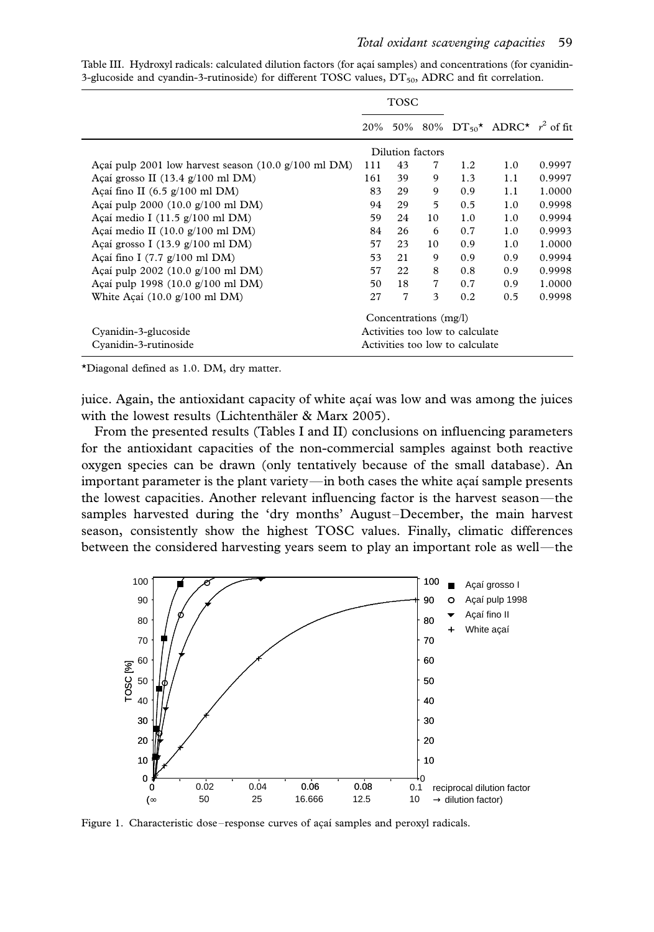|                                                                               | <b>TOSC</b>                     |                       |    |                                 |                                              |        |
|-------------------------------------------------------------------------------|---------------------------------|-----------------------|----|---------------------------------|----------------------------------------------|--------|
|                                                                               | 20%                             |                       |    |                                 | 50% 80% $DT_{50}^{\star}$ ADRC* $r^2$ of fit |        |
|                                                                               |                                 | Dilution factors      |    |                                 |                                              |        |
| Açaí pulp 2001 low harvest season $(10.0 \text{ g}/100 \text{ ml} \text{DM})$ | 111                             | 43                    | 7  | 1.2                             | 1.0                                          | 0.9997 |
| Açaí grosso II $(13.4 \text{ g}/100 \text{ ml} \text{ DM})$                   | 161                             | 39                    | 9  | 1.3                             | 1.1                                          | 0.9997 |
| Açaí fino II $(6.5 \text{ g}/100 \text{ ml} \text{ DM})$                      | 83                              | 29                    | 9  | 0.9                             | 1.1                                          | 1.0000 |
| Açaí pulp 2000 $(10.0 \text{ g}/100 \text{ ml} \text{ DM})$                   | 94                              | 29                    | 5  | 0.5                             | 1.0                                          | 0.9998 |
| Açaí medio I $(11.5 \text{ g}/100 \text{ ml} \text{ DM})$                     | 59                              | 24                    | 10 | 1.0                             | 1.0                                          | 0.9994 |
| Açaí medio II $(10.0 \text{ g}/100 \text{ ml} \text{ DM})$                    | 84                              | 26                    | 6  | 0.7                             | 1.0                                          | 0.9993 |
| Açaí grosso I $(13.9 \text{ g}/100 \text{ ml} \text{DM})$                     | 57                              | 23                    | 10 | 0.9                             | 1.0                                          | 1.0000 |
| Açaí fino I $(7.7 \text{ g}/100 \text{ ml} \text{ DM})$                       | 53                              | 21                    | 9  | 0.9                             | 0.9                                          | 0.9994 |
| Açaí pulp 2002 $(10.0 \text{ g}/100 \text{ ml} \text{DM})$                    | 57                              | 22                    | 8  | 0.8                             | 0.9                                          | 0.9998 |
| Acaí pulp 1998 $(10.0 \text{ g}/100 \text{ ml} \text{DM})$                    | 50                              | 18                    | 7  | 0.7                             | 0.9                                          | 1.0000 |
| White Acaí $(10.0 \text{ g}/100 \text{ ml} \text{ DM})$                       | 27                              | 7                     | 3  | 0.2                             | 0.5                                          | 0.9998 |
|                                                                               |                                 | Concentrations (mg/l) |    |                                 |                                              |        |
| Cyanidin-3-glucoside                                                          | Activities too low to calculate |                       |    |                                 |                                              |        |
| Cyanidin-3-rutinoside                                                         |                                 |                       |    | Activities too low to calculate |                                              |        |

Table III. Hydroxyl radicals: calculated dilution factors (for açaí samples) and concentrations (for cyanidin-3-glucoside and cyandin-3-rutinoside) for different TOSC values,  $DT_{50}$ , ADRC and fit correlation.

\*Diagonal defined as 1.0. DM, dry matter.

juice. Again, the antioxidant capacity of white açaí was low and was among the juices with the lowest results (Lichtenthäler  $&$  Marx 2005).

From the presented results (Tables I and II) conclusions on influencing parameters for the antioxidant capacities of the non-commercial samples against both reactive oxygen species can be drawn (only tentatively because of the small database). An important parameter is the plant variety—in both cases the white acai sample presents the lowest capacities. Another relevant influencing factor is the harvest season—the samples harvested during the 'dry months' August-December, the main harvest season, consistently show the highest TOSC values. Finally, climatic differences between the considered harvesting years seem to play an important role as well—the



Figure 1. Characteristic dose-response curves of açaí samples and peroxyl radicals.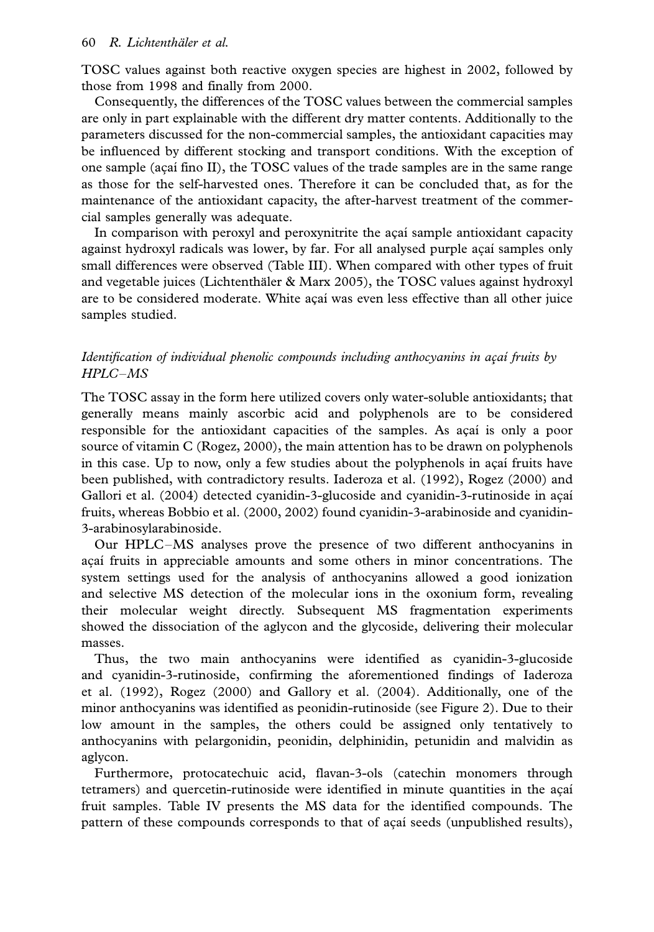TOSC values against both reactive oxygen species are highest in 2002, followed by those from 1998 and finally from 2000.

Consequently, the differences of the TOSC values between the commercial samples are only in part explainable with the different dry matter contents. Additionally to the parameters discussed for the non-commercial samples, the antioxidant capacities may be influenced by different stocking and transport conditions. With the exception of one sample (açaí fino II), the TOSC values of the trade samples are in the same range as those for the self-harvested ones. Therefore it can be concluded that, as for the maintenance of the antioxidant capacity, the after-harvest treatment of the commercial samples generally was adequate.

In comparison with peroxyl and peroxynitrite the acai sample antioxidant capacity against hydroxyl radicals was lower, by far. For all analysed purple açai samples only small differences were observed (Table III). When compared with other types of fruit and vegetable juices (Lichtenthäler  $\&$  Marx 2005), the TOSC values against hydroxyl are to be considered moderate. White açaí was even less effective than all other juice samples studied.

# Identification of individual phenolic compounds including anthocyanins in açai fruits by HPLC-MS

The TOSC assay in the form here utilized covers only water-soluble antioxidants; that generally means mainly ascorbic acid and polyphenols are to be considered responsible for the antioxidant capacities of the samples. As açai is only a poor source of vitamin C (Rogez, 2000), the main attention has to be drawn on polyphenols in this case. Up to now, only a few studies about the polyphenols in acai fruits have been published, with contradictory results. Iaderoza et al. (1992), Rogez (2000) and Gallori et al. (2004) detected cyanidin-3-glucoside and cyanidin-3-rutinoside in açaí fruits, whereas Bobbio et al. (2000, 2002) found cyanidin-3-arabinoside and cyanidin-3-arabinosylarabinoside.

Our HPLC/MS analyses prove the presence of two different anthocyanins in acaí fruits in appreciable amounts and some others in minor concentrations. The system settings used for the analysis of anthocyanins allowed a good ionization and selective MS detection of the molecular ions in the oxonium form, revealing their molecular weight directly. Subsequent MS fragmentation experiments showed the dissociation of the aglycon and the glycoside, delivering their molecular masses.

Thus, the two main anthocyanins were identified as cyanidin-3-glucoside and cyanidin-3-rutinoside, confirming the aforementioned findings of Iaderoza et al. (1992), Rogez (2000) and Gallory et al. (2004). Additionally, one of the minor anthocyanins was identified as peonidin-rutinoside (see Figure 2). Due to their low amount in the samples, the others could be assigned only tentatively to anthocyanins with pelargonidin, peonidin, delphinidin, petunidin and malvidin as aglycon.

Furthermore, protocatechuic acid, flavan-3-ols (catechin monomers through tetramers) and quercetin-rutinoside were identified in minute quantities in the açaí fruit samples. Table IV presents the MS data for the identified compounds. The pattern of these compounds corresponds to that of açaí seeds (unpublished results),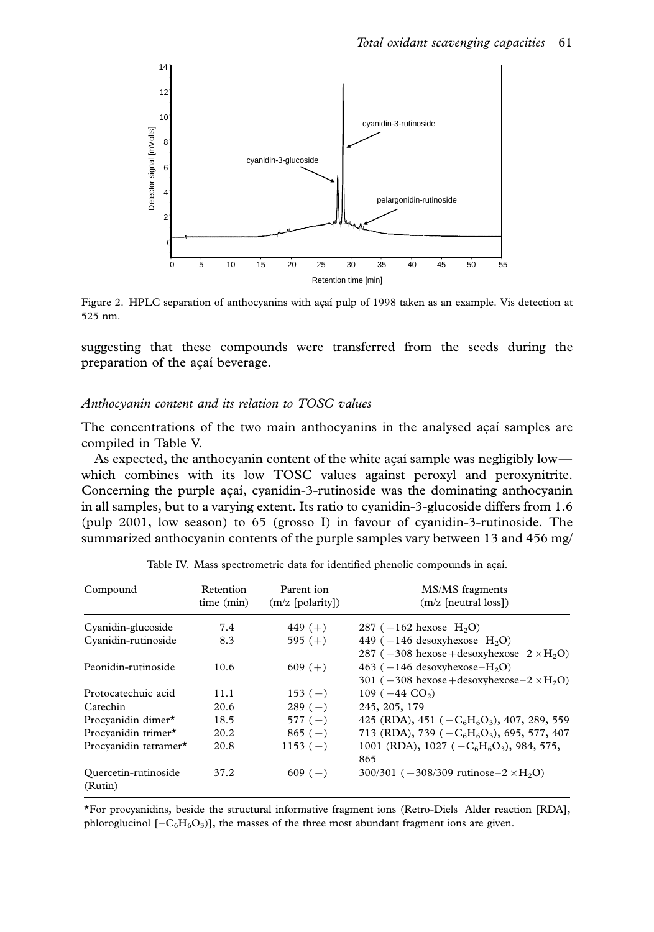

Figure 2. HPLC separation of anthocyanins with açaí pulp of 1998 taken as an example. Vis detection at 525 nm.

suggesting that these compounds were transferred from the seeds during the preparation of the açaí beverage.

#### Anthocyanin content and its relation to TOSC values

The concentrations of the two main anthocyanins in the analysed acai samples are compiled in Table V.

As expected, the anthocyanin content of the white açaı´ sample was negligibly low which combines with its low TOSC values against peroxyl and peroxynitrite. Concerning the purple açaí, cyanidin-3-rutinoside was the dominating anthocyanin in all samples, but to a varying extent. Its ratio to cyanidin-3-glucoside differs from 1.6 (pulp 2001, low season) to 65 (grosso I) in favour of cyanidin-3-rutinoside. The summarized anthocyanin contents of the purple samples vary between 13 and 456 mg/

| Compound                        | Retention<br>time (min) | Parent ion<br>$(m/z$ [polarity]) | MS/MS fragments<br>$(m/z$ [neutral loss])             |
|---------------------------------|-------------------------|----------------------------------|-------------------------------------------------------|
| Cyanidin-glucoside              | 7.4                     | 449 $(+)$                        | 287 ( $-162$ hexose $-H2O$ )                          |
| Cyanidin-rutinoside             | 8.3                     | 595 $(+)$                        | 449 ( $-146$ desoxyhexose $-H_2O$ )                   |
|                                 |                         |                                  | 287 ( $-308$ hexose + desoxyhexose $-2 \times H2O$ )  |
| Peonidin-rutinoside             | 10.6                    | $609 (+)$                        | 463 ( $-146$ desoxyhexose $-H2O$ )                    |
|                                 |                         |                                  | 301 ( $-308$ hexose + desoxyhexose $-2 \times H_2O$ ) |
| Protocatechuic acid             | 11.1                    | $153(-)$                         | 109 ( $-44$ CO <sub>2</sub> )                         |
| Catechin                        | 20.6                    | $289(-)$                         | 245, 205, 179                                         |
| Procyanidin dimer*              | 18.5                    | $577(-)$                         | 425 (RDA), 451 ( $-C_6H_6O_3$ ), 407, 289, 559        |
| Procyanidin trimer*             | 20.2                    | $865(-)$                         | 713 (RDA), 739 ( $-C_6H_6O_3$ ), 695, 577, 407        |
| Procyanidin tetramer*           | 20.8                    | $1153(-)$                        | 1001 (RDA), 1027 ( $-C_6H_6O_3$ ), 984, 575,          |
|                                 |                         |                                  | 865                                                   |
| Quercetin-rutinoside<br>(Rutin) | 37.2                    | $609(-)$                         | 300/301 ( $-308/309$ rutinose $-2 \times H_2O$ )      |

Table IV. Mass spectrometric data for identified phenolic compounds in acaí.

\*For procyanidins, beside the structural informative fragment ions (Retro-Diels-Alder reaction [RDA], phloroglucinol  $[-C_6H_6O_3]$ , the masses of the three most abundant fragment ions are given.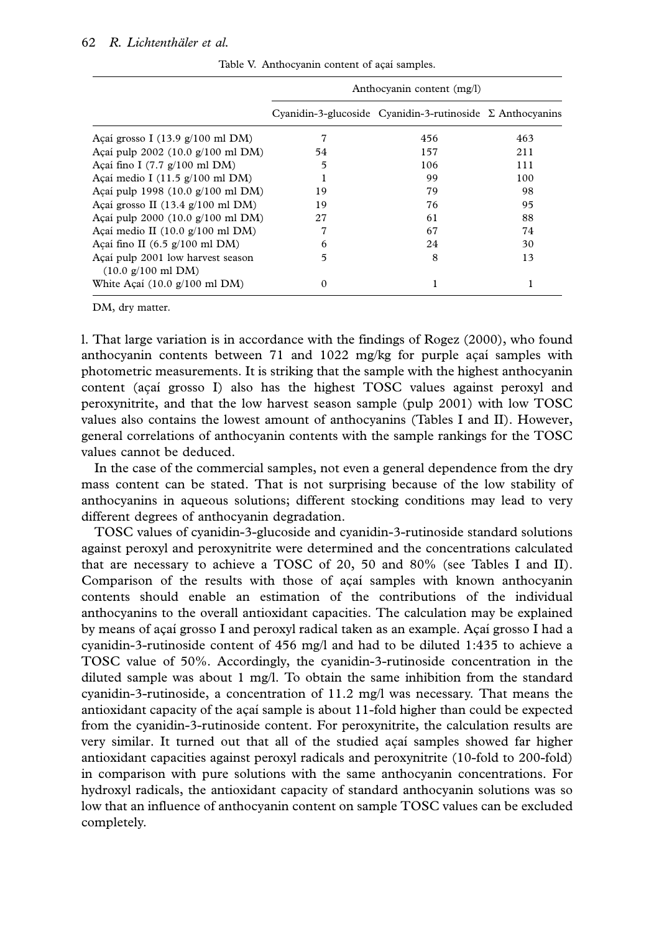|                                                                                   | Anthocyanin content (mg/l) |                                                                  |     |  |  |  |
|-----------------------------------------------------------------------------------|----------------------------|------------------------------------------------------------------|-----|--|--|--|
|                                                                                   |                            | Cyanidin-3-glucoside Cyanidin-3-rutinoside $\Sigma$ Anthocyanins |     |  |  |  |
| Açaí grosso I $(13.9 \text{ g}/100 \text{ ml} \text{DM})$                         |                            | 456                                                              | 463 |  |  |  |
| Açaí pulp 2002 $(10.0 \text{ g}/100 \text{ ml} \text{DM})$                        | 54                         | 157                                                              | 211 |  |  |  |
| Açaí fino I $(7.7 \text{ g}/100 \text{ ml} \text{ DM})$                           | 5                          | 106                                                              | 111 |  |  |  |
| Açaí medio I $(11.5 \text{ g}/100 \text{ ml} \text{ DM})$                         | 1                          | 99                                                               | 100 |  |  |  |
| Acaí pulp 1998 $(10.0 \text{ g}/100 \text{ ml} \text{ DM})$                       | 19                         | 79                                                               | 98  |  |  |  |
| Açaí grosso II $(13.4 \text{ g}/100 \text{ ml} \text{ DM})$                       | 19                         | 76                                                               | 95  |  |  |  |
| Açaí pulp $2000 (10.0 g/100 ml DM)$                                               | 27                         | 61                                                               | 88  |  |  |  |
| Açaí medio II $(10.0 \text{ g}/100 \text{ ml} \text{ DM})$                        | 7                          | 67                                                               | 74  |  |  |  |
| Açaí fino II $(6.5 \text{ g}/100 \text{ ml} \text{ DM})$                          | 6                          | 24                                                               | 30  |  |  |  |
| Açaí pulp 2001 low harvest season<br>$(10.0 \text{ g}/100 \text{ ml} \text{ DM})$ | 5                          | 8                                                                | 13  |  |  |  |
| White Açaí $(10.0 \text{ g}/100 \text{ ml} \text{ DM})$                           | $\Omega$                   |                                                                  |     |  |  |  |

Table V. Anthocyanin content of açaí samples.

DM, dry matter.

l. That large variation is in accordance with the findings of Rogez (2000), who found anthocyanin contents between 71 and  $1022$  mg/kg for purple açai samples with photometric measurements. It is striking that the sample with the highest anthocyanin content (açai grosso I) also has the highest TOSC values against peroxyl and peroxynitrite, and that the low harvest season sample (pulp 2001) with low TOSC values also contains the lowest amount of anthocyanins (Tables I and II). However, general correlations of anthocyanin contents with the sample rankings for the TOSC values cannot be deduced.

In the case of the commercial samples, not even a general dependence from the dry mass content can be stated. That is not surprising because of the low stability of anthocyanins in aqueous solutions; different stocking conditions may lead to very different degrees of anthocyanin degradation.

TOSC values of cyanidin-3-glucoside and cyanidin-3-rutinoside standard solutions against peroxyl and peroxynitrite were determined and the concentrations calculated that are necessary to achieve a TOSC of 20, 50 and 80% (see Tables I and II). Comparison of the results with those of acai samples with known anthocyanin contents should enable an estimation of the contributions of the individual anthocyanins to the overall antioxidant capacities. The calculation may be explained by means of açaí grosso I and peroxyl radical taken as an example. Açaí grosso I had a cyanidin-3-rutinoside content of 456 mg/l and had to be diluted 1:435 to achieve a TOSC value of 50%. Accordingly, the cyanidin-3-rutinoside concentration in the diluted sample was about 1 mg/l. To obtain the same inhibition from the standard cyanidin-3-rutinoside, a concentration of 11.2 mg/l was necessary. That means the antioxidant capacity of the açaí sample is about  $11$ -fold higher than could be expected from the cyanidin-3-rutinoside content. For peroxynitrite, the calculation results are very similar. It turned out that all of the studied acai samples showed far higher antioxidant capacities against peroxyl radicals and peroxynitrite (10-fold to 200-fold) in comparison with pure solutions with the same anthocyanin concentrations. For hydroxyl radicals, the antioxidant capacity of standard anthocyanin solutions was so low that an influence of anthocyanin content on sample TOSC values can be excluded completely.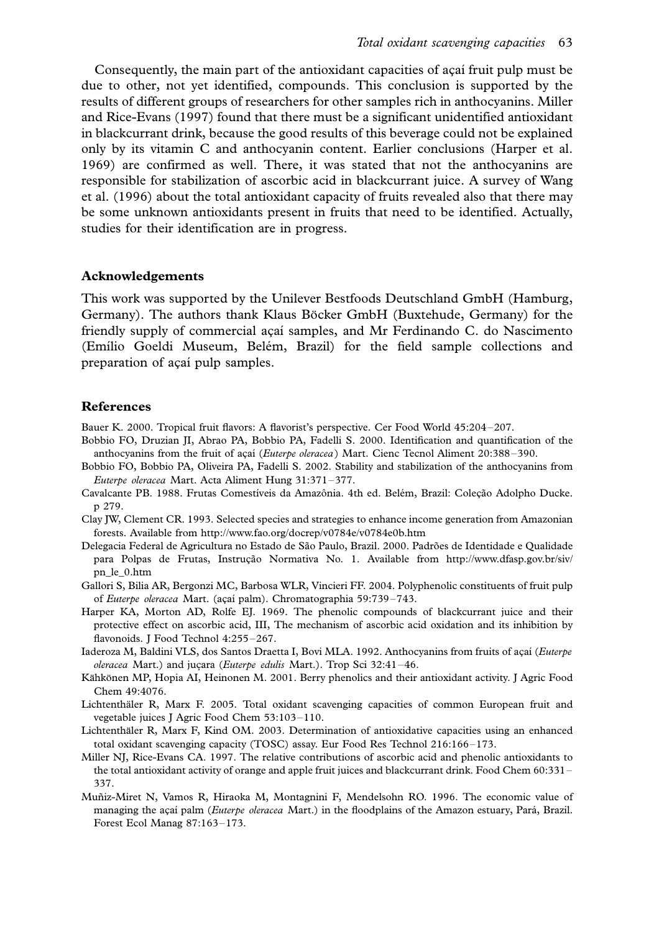Consequently, the main part of the antioxidant capacities of acai fruit pulp must be due to other, not yet identified, compounds. This conclusion is supported by the results of different groups of researchers for other samples rich in anthocyanins. Miller and Rice-Evans (1997) found that there must be a significant unidentified antioxidant in blackcurrant drink, because the good results of this beverage could not be explained only by its vitamin C and anthocyanin content. Earlier conclusions (Harper et al. 1969) are confirmed as well. There, it was stated that not the anthocyanins are responsible for stabilization of ascorbic acid in blackcurrant juice. A survey of Wang et al. (1996) about the total antioxidant capacity of fruits revealed also that there may be some unknown antioxidants present in fruits that need to be identified. Actually, studies for their identification are in progress.

#### Acknowledgements

This work was supported by the Unilever Bestfoods Deutschland GmbH (Hamburg, Germany). The authors thank Klaus Böcker GmbH (Buxtehude, Germany) for the friendly supply of commercial açaí samples, and Mr Ferdinando C. do Nascimento (Emílio Goeldi Museum, Belém, Brazil) for the field sample collections and preparation of açaí pulp samples.

#### References

- Bauer K. 2000. Tropical fruit flavors: A flavorist's perspective. Cer Food World 45:204-207.
- Bobbio FO, Druzian JI, Abrao PA, Bobbio PA, Fadelli S. 2000. Identification and quantification of the anthocyanins from the fruit of açaí (Euterpe oleracea) Mart. Cienc Tecnol Aliment 20:388-390.
- Bobbio FO, Bobbio PA, Oliveira PA, Fadelli S. 2002. Stability and stabilization of the anthocyanins from Euterpe oleracea Mart. Acta Aliment Hung 31:371-377.
- Cavalcante PB. 1988. Frutas Comestíveis da Amazônia. 4th ed. Belém, Brazil: Coleção Adolpho Ducke. p 279.
- Clay JW, Clement CR. 1993. Selected species and strategies to enhance income generation from Amazonian forests. Available from http://www.fao.org/docrep/v0784e/v0784e0b.htm
- Delegacia Federal de Agricultura no Estado de São Paulo, Brazil. 2000. Padrões de Identidade e Qualidade para Polpas de Frutas, Instrução Normativa No. 1. Available from http://www.dfasp.gov.br/siv/ pn\_le\_0.htm
- Gallori S, Bilia AR, Bergonzi MC, Barbosa WLR, Vincieri FF. 2004. Polyphenolic constituents of fruit pulp of Euterpe oleracea Mart. (açaí palm). Chromatographia 59:739-743.
- Harper KA, Morton AD, Rolfe EJ. 1969. The phenolic compounds of blackcurrant juice and their protective effect on ascorbic acid, III, The mechanism of ascorbic acid oxidation and its inhibition by flavonoids. J Food Technol 4:255-267.
- Iaderoza M, Baldini VLS, dos Santos Draetta I, Bovi MLA. 1992. Anthocyanins from fruits of açaí (Euterpe  $oleracea$  Mart.) and juçara (*Euterpe edulis* Mart.). Trop Sci 32:41-46.
- Kähkönen MP, Hopia AI, Heinonen M. 2001. Berry phenolics and their antioxidant activity. J Agric Food Chem 49:4076.
- Lichtenthäler R, Marx F. 2005. Total oxidant scavenging capacities of common European fruit and vegetable juices J Agric Food Chem 53:103-110.
- Lichtenthäler R, Marx F, Kind OM. 2003. Determination of antioxidative capacities using an enhanced total oxidant scavenging capacity (TOSC) assay. Eur Food Res Technol 216:166-173.
- Miller NJ, Rice-Evans CA. 1997. The relative contributions of ascorbic acid and phenolic antioxidants to the total antioxidant activity of orange and apple fruit juices and blackcurrant drink. Food Chem 60:331 – 337.
- Mun˜iz-Miret N, Vamos R, Hiraoka M, Montagnini F, Mendelsohn RO. 1996. The economic value of managing the açaí palm (Euterpe oleracea Mart.) in the floodplains of the Amazon estuary, Pará, Brazil. Forest Ecol Manag 87:163-173.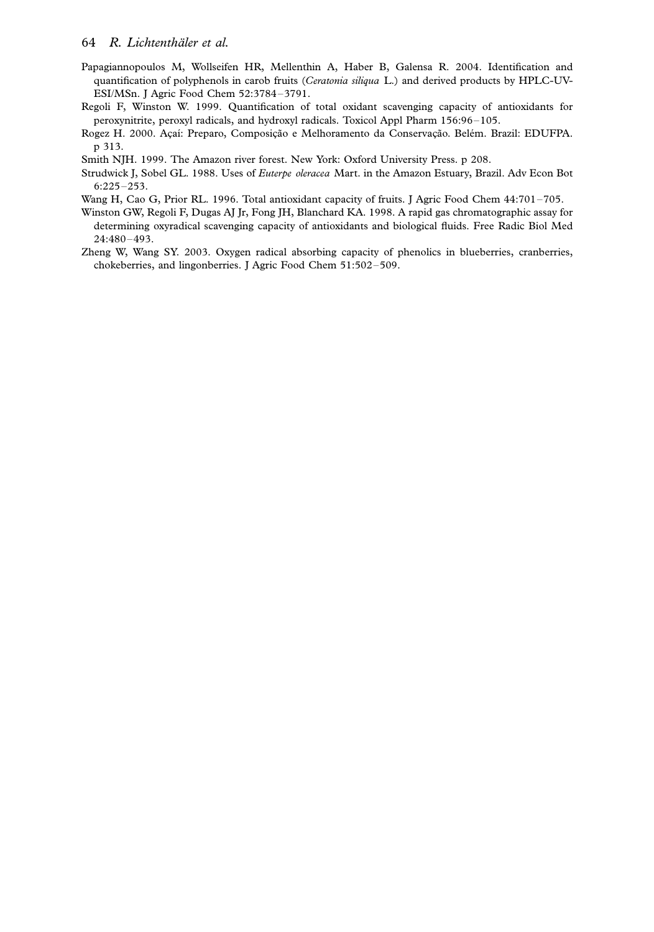- Papagiannopoulos M, Wollseifen HR, Mellenthin A, Haber B, Galensa R. 2004. Identification and quantification of polyphenols in carob fruits (Ceratonia siliqua L.) and derived products by HPLC-UV-ESI/MSn. J Agric Food Chem 52:3784-3791.
- Regoli F, Winston W. 1999. Quantification of total oxidant scavenging capacity of antioxidants for peroxynitrite, peroxyl radicals, and hydroxyl radicals. Toxicol Appl Pharm 156:96-105.
- Rogez H. 2000. Acaí: Preparo, Composição e Melhoramento da Conservação. Belém. Brazil: EDUFPA. p 313.
- Smith NJH. 1999. The Amazon river forest. New York: Oxford University Press. p 208.
- Strudwick J, Sobel GL. 1988. Uses of Euterpe oleracea Mart. in the Amazon Estuary, Brazil. Adv Econ Bot  $6:225-253.$
- Wang H, Cao G, Prior RL. 1996. Total antioxidant capacity of fruits. J Agric Food Chem 44:701-705.
- Winston GW, Regoli F, Dugas AJ Jr, Fong JH, Blanchard KA. 1998. A rapid gas chromatographic assay for determining oxyradical scavenging capacity of antioxidants and biological fluids. Free Radic Biol Med 24:480-493.
- Zheng W, Wang SY. 2003. Oxygen radical absorbing capacity of phenolics in blueberries, cranberries, chokeberries, and lingonberries. J Agric Food Chem 51:502-509.